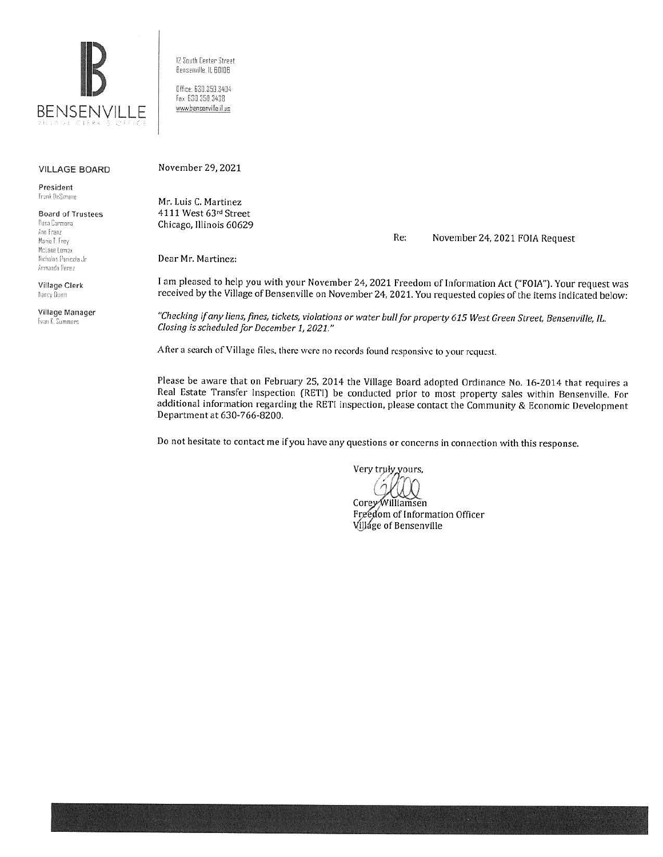

12 South Center Street Bensenville, IL 60106

Office: 630.350.3404 Fax 630 350 3438 www.bensenville.il.us

## **VILLAGE BOARD**

President Frank DeSimone

**Board of Trustees** Rosa Carmona Ann Franz Marie T. Frey McLane Lomax Nicholas Panicola Jr.

Armando Perez Village Clerk Nancy Dunn

Village Manager Evan K. Summers

November 29, 2021

Mr. Luis C. Martinez 4111 West 63rd Street Chicago, Illinois 60629

> Re: November 24, 2021 FOIA Request

Dear Mr. Martinez:

I am pleased to help you with your November 24, 2021 Freedom of Information Act ("FOIA"). Your request was received by the Village of Bensenville on November 24, 2021. You requested copies of the items indicated below:

"Checking if any liens, fines, tickets, violations or water bull for property 615 West Green Street, Bensenville, IL. Closing is scheduled for December 1, 2021."

After a search of Village files, there were no records found responsive to your request.

Please be aware that on February 25, 2014 the Village Board adopted Ordinance No. 16-2014 that requires a Real Estate Transfer Inspection (RETI) be conducted prior to most property sales within Bensenville. For additional information regarding the RETI inspection, please contact the Community & Economic Development Department at 630-766-8200.

Do not hesitate to contact me if you have any questions or concerns in connection with this response.

Very truły yours,

Corey Williamsen Freedom of Information Officer Village of Bensenville